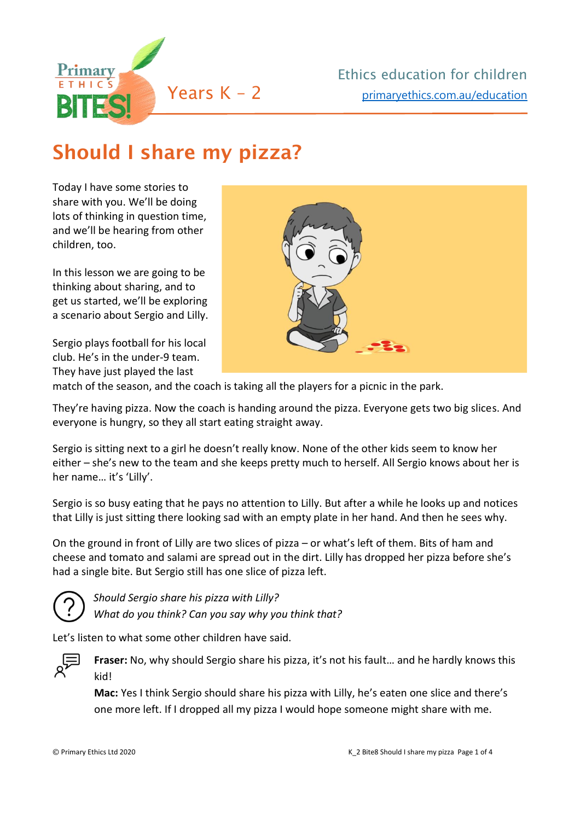

## Should I share my pizza?

Today I have some stories to share with you. We'll be doing lots of thinking in question time, and we'll be hearing from other children, too.

In this lesson we are going to be thinking about sharing, and to get us started, we'll be exploring a scenario about Sergio and Lilly.

Sergio plays football for his local club. He's in the under-9 team. They have just played the last



match of the season, and the coach is taking all the players for a picnic in the park.

They're having pizza. Now the coach is handing around the pizza. Everyone gets two big slices. And everyone is hungry, so they all start eating straight away.

Sergio is sitting next to a girl he doesn't really know. None of the other kids seem to know her either – she's new to the team and she keeps pretty much to herself. All Sergio knows about her is her name… it's 'Lilly'.

Sergio is so busy eating that he pays no attention to Lilly. But after a while he looks up and notices that Lilly is just sitting there looking sad with an empty plate in her hand. And then he sees why.

On the ground in front of Lilly are two slices of pizza – or what's left of them. Bits of ham and cheese and tomato and salami are spread out in the dirt. Lilly has dropped her pizza before she's had a single bite. But Sergio still has one slice of pizza left.



*Should Sergio share his pizza with Lilly? What do you think? Can you say why you think that?*

Let's listen to what some other children have said.



**Fraser:** No, why should Sergio share his pizza, it's not his fault… and he hardly knows this kid!

**Mac:** Yes I think Sergio should share his pizza with Lilly, he's eaten one slice and there's one more left. If I dropped all my pizza I would hope someone might share with me.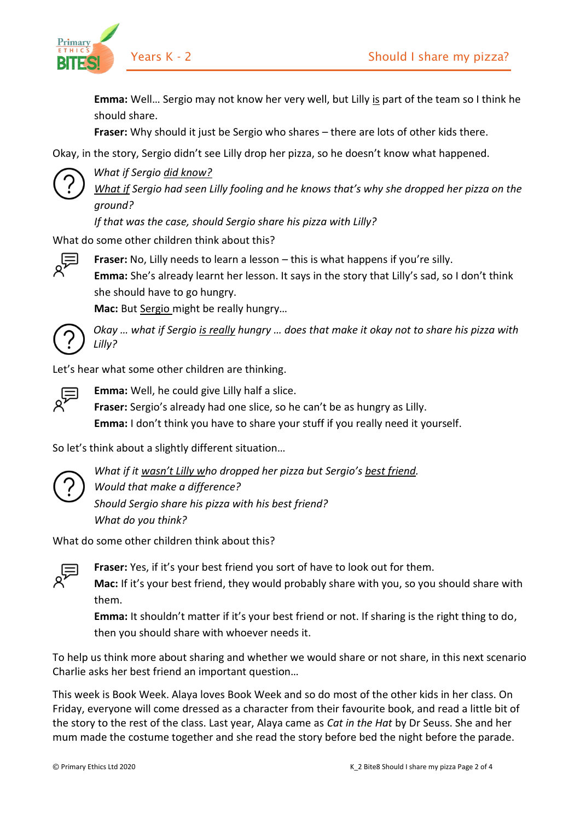

**Emma:** Well… Sergio may not know her very well, but Lilly is part of the team so I think he should share.

**Fraser:** Why should it just be Sergio who shares – there are lots of other kids there.

Okay, in the story, Sergio didn't see Lilly drop her pizza, so he doesn't know what happened.



*What if Sergio did know?* 

*What if Sergio had seen Lilly fooling and he knows that's why she dropped her pizza on the ground?*

*If that was the case, should Sergio share his pizza with Lilly?*

What do some other children think about this?



**Fraser:** No, Lilly needs to learn a lesson – this is what happens if you're silly. **Emma:** She's already learnt her lesson. It says in the story that Lilly's sad, so I don't think she should have to go hungry.

**Mac:** But Sergio might be really hungry…



*Okay … what if Sergio is really hungry … does that make it okay not to share his pizza with Lilly?* 

Let's hear what some other children are thinking.



**Emma:** Well, he could give Lilly half a slice.

**Fraser:** Sergio's already had one slice, so he can't be as hungry as Lilly. **Emma:** I don't think you have to share your stuff if you really need it yourself.

So let's think about a slightly different situation…



*What if it wasn't Lilly who dropped her pizza but Sergio's best friend. Would that make a difference? Should Sergio share his pizza with his best friend? What do you think?*

What do some other children think about this?



**Fraser:** Yes, if it's your best friend you sort of have to look out for them.

**Mac:** If it's your best friend, they would probably share with you, so you should share with them.

**Emma:** It shouldn't matter if it's your best friend or not. If sharing is the right thing to do, then you should share with whoever needs it.

To help us think more about sharing and whether we would share or not share, in this next scenario Charlie asks her best friend an important question…

This week is Book Week. Alaya loves Book Week and so do most of the other kids in her class. On Friday, everyone will come dressed as a character from their favourite book, and read a little bit of the story to the rest of the class. Last year, Alaya came as *Cat in the Hat* by Dr Seuss. She and her mum made the costume together and she read the story before bed the night before the parade.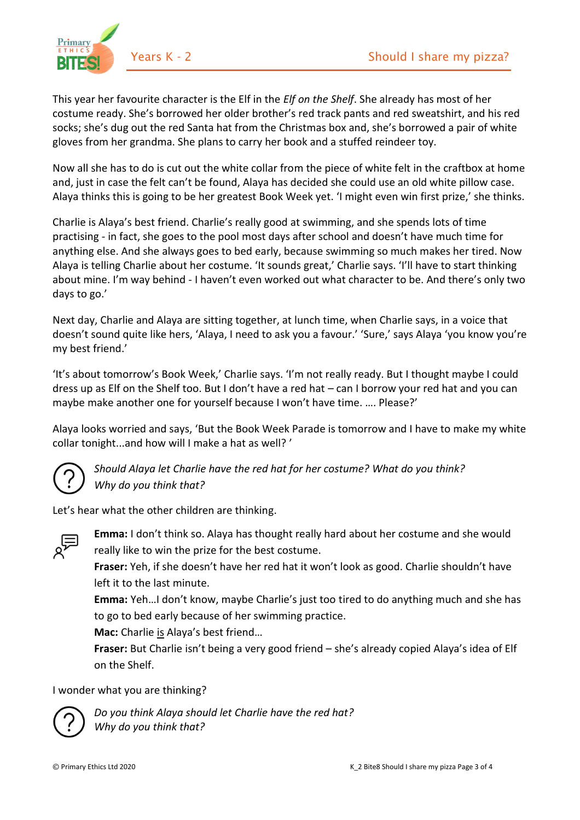

This year her favourite character is the Elf in the *Elf on the Shelf*. She already has most of her costume ready. She's borrowed her older brother's red track pants and red sweatshirt, and his red socks; she's dug out the red Santa hat from the Christmas box and, she's borrowed a pair of white gloves from her grandma. She plans to carry her book and a stuffed reindeer toy.

Now all she has to do is cut out the white collar from the piece of white felt in the craftbox at home and, just in case the felt can't be found, Alaya has decided she could use an old white pillow case. Alaya thinks this is going to be her greatest Book Week yet. 'I might even win first prize,' she thinks.

Charlie is Alaya's best friend. Charlie's really good at swimming, and she spends lots of time practising - in fact, she goes to the pool most days after school and doesn't have much time for anything else. And she always goes to bed early, because swimming so much makes her tired. Now Alaya is telling Charlie about her costume. 'It sounds great,' Charlie says. 'I'll have to start thinking about mine. I'm way behind - I haven't even worked out what character to be. And there's only two days to go.'

Next day, Charlie and Alaya are sitting together, at lunch time, when Charlie says, in a voice that doesn't sound quite like hers, 'Alaya, I need to ask you a favour.' 'Sure,' says Alaya 'you know you're my best friend.'

'It's about tomorrow's Book Week,' Charlie says. 'I'm not really ready. But I thought maybe I could dress up as Elf on the Shelf too. But I don't have a red hat – can I borrow your red hat and you can maybe make another one for yourself because I won't have time. …. Please?'

Alaya looks worried and says, 'But the Book Week Parade is tomorrow and I have to make my white collar tonight...and how will I make a hat as well? '



*Should Alaya let Charlie have the red hat for her costume? What do you think? Why do you think that?*

Let's hear what the other children are thinking.



**Emma:** I don't think so. Alaya has thought really hard about her costume and she would really like to win the prize for the best costume.

**Fraser:** Yeh, if she doesn't have her red hat it won't look as good. Charlie shouldn't have left it to the last minute.

**Emma:** Yeh…I don't know, maybe Charlie's just too tired to do anything much and she has to go to bed early because of her swimming practice.

**Mac:** Charlie is Alaya's best friend…

**Fraser:** But Charlie isn't being a very good friend – she's already copied Alaya's idea of Elf on the Shelf.

I wonder what you are thinking?



*Do you think Alaya should let Charlie have the red hat? Why do you think that?*